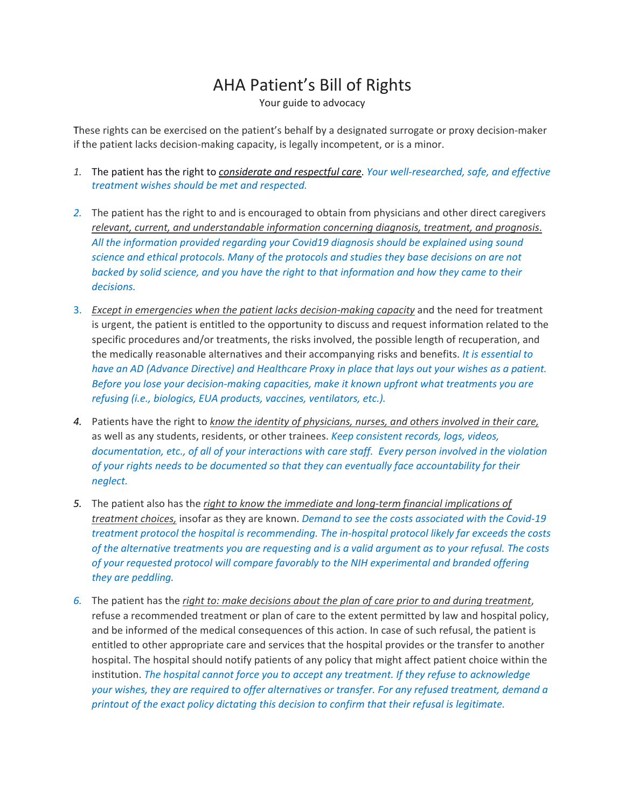## AHA Patient's Bill of Rights

Your guide to advocacy

These rights can be exercised on the patient's behalf by a designated surrogate or proxy decision-maker if the patient lacks decision-making capacity, is legally incompetent, or is a minor.

- *1.* The patient has the right to *considerate and respectful care*. *Your well-researched, safe, and effective treatment wishes should be met and respected.*
- *2.* The patient has the right to and is encouraged to obtain from physicians and other direct caregivers *relevant, current, and understandable information concerning diagnosis, treatment, and prognosis*. *All the information provided regarding your Covid19 diagnosis should be explained using sound science and ethical protocols. Many of the protocols and studies they base decisions on are not backed by solid science, and you have the right to that information and how they came to their decisions.*
- 3. *Except in emergencies when the patient lacks decision-making capacity* and the need for treatment is urgent, the patient is entitled to the opportunity to discuss and request information related to the specific procedures and/or treatments, the risks involved, the possible length of recuperation, and the medically reasonable alternatives and their accompanying risks and benefits. *It is essential to* have an AD (Advance Directive) and Healthcare Proxy in place that lays out your wishes as a patient. *Before you lose your decision-making capacities, make it known upfront what treatments you are refusing (i.e., biologics, EUA products, vaccines, ventilators, etc.).*
- *4.* Patients have the right to *know the identity of physicians, nurses, and others involved in their care,* as well as any students, residents, or other trainees. *Keep consistent records, logs, videos, documentation, etc., of all of your interactions with care staff. Every person involved in the violation of your rights needs to be documented so that they can eventually face accountability for their neglect.*
- *5.* The patient also has the *right to know the immediate and long-term financial implications of treatment choices,* insofar as they are known. *Demand to see the costs associated with the Covid-19 treatment protocol the hospital is recommending. The in-hospital protocol likely far exceeds the costs* of the alternative treatments you are requesting and is a valid argument as to your refusal. The costs *of your requested protocol will compare favorably to the NIH experimental and branded offering they are peddling.*
- *6.* The patient has the *right to: make decisions about the plan of care prior to and during treatment*, refuse a recommended treatment or plan of care to the extent permitted by law and hospital policy, and be informed of the medical consequences of this action. In case of such refusal, the patient is entitled to other appropriate care and services that the hospital provides or the transfer to another hospital. The hospital should notify patients of any policy that might affect patient choice within the institution. *The hospital cannot force you to accept any treatment. If they refuse to acknowledge your wishes, they are required to offer alternatives or transfer. For any refused treatment, demand a printout of the exact policy dictating this decision to confirm that their refusal is legitimate.*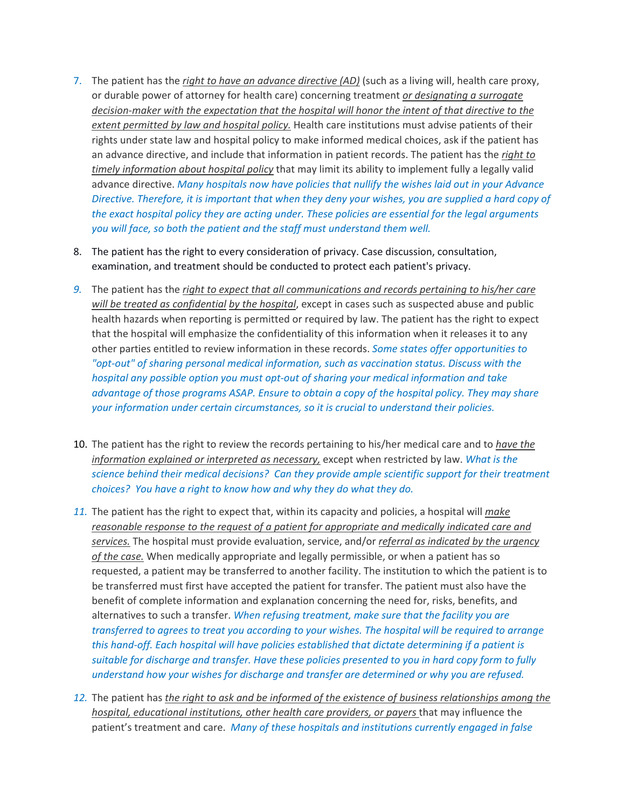- 7. The patient has the *right to have an advance directive (AD)* (such as a living will, health care proxy, or durable power of attorney for health care) concerning treatment *or designating a surrogate decision-maker with the expectation that the hospital will honor the intent of that directive to the extent permitted by law and hospital policy.* Health care institutions must advise patients of their rights under state law and hospital policy to make informed medical choices, ask if the patient has an advance directive, and include that information in patient records. The patient has the *right to timely information about hospital policy* that may limit its ability to implement fully a legally valid advance directive. *Many hospitals now have policies that nullify the wishes laid out in your Advance Directive. Therefore, it is important that when they deny your wishes, you are supplied a hard copy of the exact hospital policy they are acting under. These policies are essential for the legal arguments you will face, so both the patient and the staff must understand them well.*
- 8. The patient has the right to every consideration of privacy. Case discussion, consultation, examination, and treatment should be conducted to protect each patient's privacy.
- *9.* The patient has the *right to expect that all communications and records pertaining to his/her care will be treated as confidential by the hospital*, except in cases such as suspected abuse and public health hazards when reporting is permitted or required by law. The patient has the right to expect that the hospital will emphasize the confidentiality of this information when it releases it to any other parties entitled to review information in these records. *Some states offer opportunities to "opt-out" of sharing personal medical information, such as vaccination status. Discuss with the hospital any possible option you must opt-out of sharing your medical information and take advantage of those programs ASAP. Ensure to obtain a copy of the hospital policy. They may share your information under certain circumstances, so it is crucial to understand their policies.*
- 10. The patient has the right to review the records pertaining to his/her medical care and to *have the information explained or interpreted as necessary,* except when restricted by law. *What is the science behind their medical decisions? Can they provide ample scientific support for their treatment choices? You have a right to know how and why they do what they do.*
- *11.* The patient has the right to expect that, within its capacity and policies, a hospital will *make reasonable response to the request of a patient for appropriate and medically indicated care and services.* The hospital must provide evaluation, service, and/or *referral as indicated by the urgency of the case.* When medically appropriate and legally permissible, or when a patient has so requested, a patient may be transferred to another facility. The institution to which the patient is to be transferred must first have accepted the patient for transfer. The patient must also have the benefit of complete information and explanation concerning the need for, risks, benefits, and alternatives to such a transfer. *When refusing treatment, make sure that the facility you are transferred to agrees to treat you according to your wishes. The hospital will be required to arrange this hand-off. Each hospital will have policies established that dictate determining if a patient is suitable for discharge and transfer. Have these policies presented to you in hard copy form to fully understand how your wishes for discharge and transfer are determined or why you are refused.*
- *12.* The patient has *the right to ask and be informed of the existence of business relationships among the hospital, educational institutions, other health care providers, or payers* that may influence the patient's treatment and care. *Many of these hospitals and institutions currently engaged in false*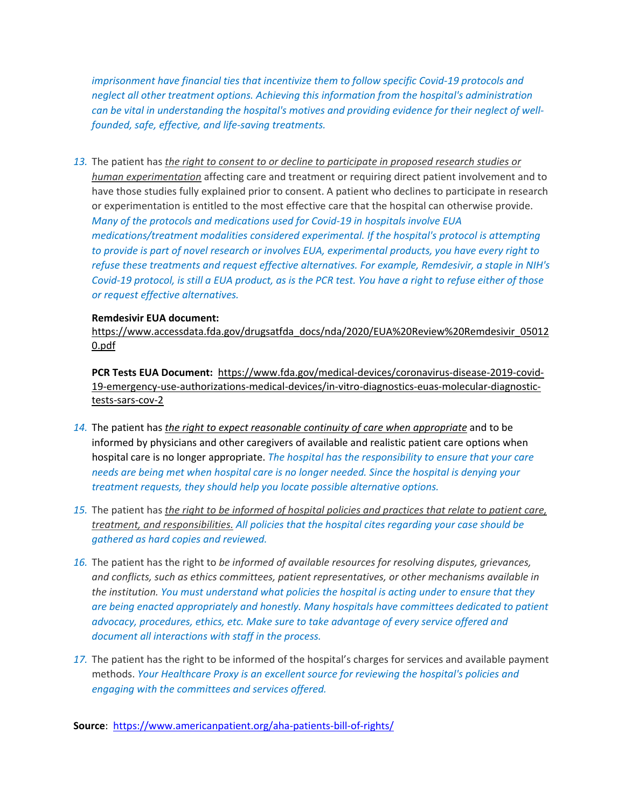*imprisonment have financial ties that incentivize them to follow specific Covid-19 protocols and neglect all other treatment options. Achieving this information from the hospital's administration can be vital in understanding the hospital's motives and providing evidence for their neglect of wellfounded, safe, effective, and life-saving treatments.*

*13.* The patient has *the right to consent to or decline to participate in proposed research studies or human experimentation* affecting care and treatment or requiring direct patient involvement and to have those studies fully explained prior to consent. A patient who declines to participate in research or experimentation is entitled to the most effective care that the hospital can otherwise provide. *Many of the protocols and medications used for Covid-19 in hospitals involve EUA medications/treatment modalities considered experimental. If the hospital's protocol is attempting to provide is part of novel research or involves EUA, experimental products, you have every right to refuse these treatments and request effective alternatives. For example, Remdesivir, a staple in NIH's Covid-19 protocol, is still a EUA product, as is the PCR test. You have a right to refuse either of those or request effective alternatives.*

## **Remdesivir EUA document:**

[https://www.accessdata.fda.gov/drugsatfda\\_docs/nda/2020/EUA%20Review%20Remdesivir\\_05012](https://www.accessdata.fda.gov/drugsatfda_docs/nda/2020/EUA%2520Review%2520Remdesivir_050120.pdf) [0.pdf](https://www.accessdata.fda.gov/drugsatfda_docs/nda/2020/EUA%2520Review%2520Remdesivir_050120.pdf)

**PCR Tests EUA Document:** [https://www.fda.gov/medical-devices/coronavirus-disease-2019-covid-](https://www.fda.gov/medical-devices/coronavirus-disease-2019-covid-19-emergency-use-authorizations-medical-devices/in-vitro-diagnostics-euas-molecular-diagnostic-tests-sars-cov-2)[19-emergency-use-authorizations-medical-devices/in-vitro-diagnostics-euas-molecular-diagnostic](https://www.fda.gov/medical-devices/coronavirus-disease-2019-covid-19-emergency-use-authorizations-medical-devices/in-vitro-diagnostics-euas-molecular-diagnostic-tests-sars-cov-2)[tests-sars-cov-2](https://www.fda.gov/medical-devices/coronavirus-disease-2019-covid-19-emergency-use-authorizations-medical-devices/in-vitro-diagnostics-euas-molecular-diagnostic-tests-sars-cov-2)

- *14.* The patient has *the right to expect reasonable continuity of care when appropriate* and to be informed by physicians and other caregivers of available and realistic patient care options when hospital care is no longer appropriate. *The hospital has the responsibility to ensure that your care needs are being met when hospital care is no longer needed. Since the hospital is denying your treatment requests, they should help you locate possible alternative options.*
- *15.* The patient has *the right to be informed of hospital policies and practices that relate to patient care, treatment, and responsibilities. All policies that the hospital cites regarding your case should be gathered as hard copies and reviewed.*
- *16.* The patient has the right to *be informed of available resources for resolving disputes, grievances, and conflicts, such as ethics committees, patient representatives, or other mechanisms available in the institution. You must understand what policies the hospital is acting under to ensure that they are being enacted appropriately and honestly. Many hospitals have committees dedicated to patient advocacy, procedures, ethics, etc. Make sure to take advantage of every service offered and document all interactions with staff in the process.*
- *17.* The patient has the right to be informed of the hospital's charges for services and available payment methods. *Your Healthcare Proxy is an excellent source for reviewing the hospital's policies and engaging with the committees and services offered.*

**Source**: <https://www.americanpatient.org/aha-patients-bill-of-rights/>